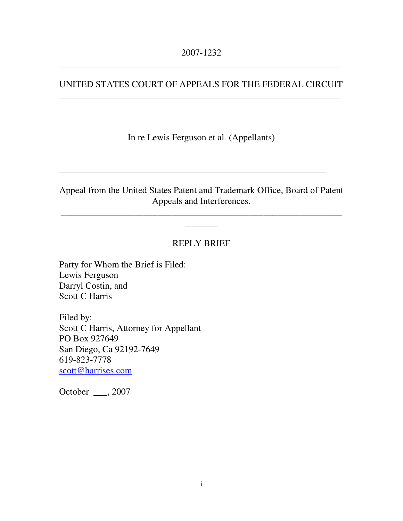#### UNITED STATES COURT OF APPEALS FOR THE FEDERAL CIRCUIT \_\_\_\_\_\_\_\_\_\_\_\_\_\_\_\_\_\_\_\_\_\_\_\_\_\_\_\_\_\_\_\_\_\_\_\_\_\_\_\_\_\_\_\_\_\_\_\_\_\_\_\_\_\_\_\_\_\_\_\_\_

In re Lewis Ferguson et al (Appellants)

#### Appeal from the United States Patent and Trademark Office, Board of Patent Appeals and Interferences.

\_\_\_\_\_\_\_\_\_\_\_\_\_\_\_\_\_\_\_\_\_\_\_\_\_\_\_\_\_\_\_\_\_\_\_\_\_\_\_\_\_\_\_\_\_\_\_\_\_\_\_\_\_\_\_\_\_\_\_\_\_  $\overline{\phantom{a}}$ 

\_\_\_\_\_\_\_\_\_\_\_\_\_\_\_\_\_\_\_\_\_\_\_\_\_\_\_\_\_\_\_\_\_\_\_\_\_\_\_\_\_\_\_\_\_\_\_\_\_\_\_\_\_\_\_\_\_\_

#### REPLY BRIEF

Party for Whom the Brief is Filed: Lewis Ferguson Darryl Costin, and Scott C Harris

Filed by: Scott C Harris, Attorney for Appellant PO Box 927649 San Diego, Ca 92192-7649 619-823-7778 scott@harrises.com

October \_\_\_, 2007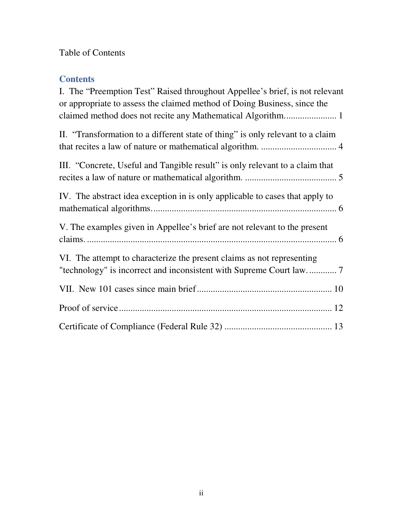### Table of Contents

### **Contents**

| I. The "Preemption Test" Raised throughout Appellee's brief, is not relevant<br>or appropriate to assess the claimed method of Doing Business, since the |
|----------------------------------------------------------------------------------------------------------------------------------------------------------|
| II. "Transformation to a different state of thing" is only relevant to a claim                                                                           |
| III. "Concrete, Useful and Tangible result" is only relevant to a claim that                                                                             |
| IV. The abstract idea exception in is only applicable to cases that apply to                                                                             |
| V. The examples given in Appellee's brief are not relevant to the present                                                                                |
| VI. The attempt to characterize the present claims as not representing                                                                                   |
|                                                                                                                                                          |
|                                                                                                                                                          |
|                                                                                                                                                          |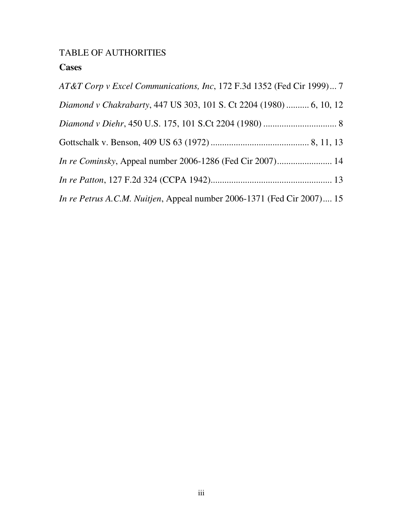### TABLE OF AUTHORITIES

### **Cases**

| AT&T Corp v Excel Communications, Inc, 172 F.3d 1352 (Fed Cir 1999) 7  |
|------------------------------------------------------------------------|
| Diamond v Chakrabarty, 447 US 303, 101 S. Ct 2204 (1980)  6, 10, 12    |
|                                                                        |
|                                                                        |
|                                                                        |
|                                                                        |
| In re Petrus A.C.M. Nuitjen, Appeal number 2006-1371 (Fed Cir 2007) 15 |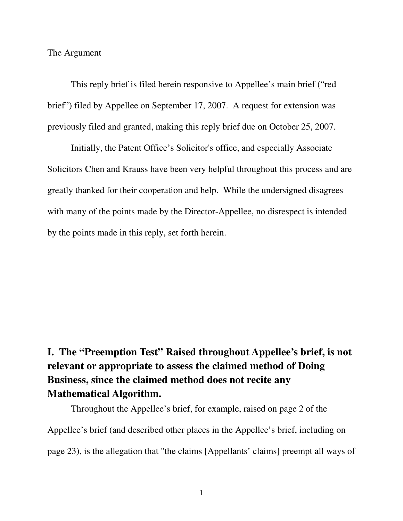The Argument

This reply brief is filed herein responsive to Appellee's main brief ("red brief") filed by Appellee on September 17, 2007. A request for extension was previously filed and granted, making this reply brief due on October 25, 2007.

Initially, the Patent Office's Solicitor's office, and especially Associate Solicitors Chen and Krauss have been very helpful throughout this process and are greatly thanked for their cooperation and help. While the undersigned disagrees with many of the points made by the Director-Appellee, no disrespect is intended by the points made in this reply, set forth herein.

# **I. The "Preemption Test" Raised throughout Appellee's brief, is not relevant or appropriate to assess the claimed method of Doing Business, since the claimed method does not recite any Mathematical Algorithm.**

Throughout the Appellee's brief, for example, raised on page 2 of the Appellee's brief (and described other places in the Appellee's brief, including on page 23), is the allegation that "the claims [Appellants' claims] preempt all ways of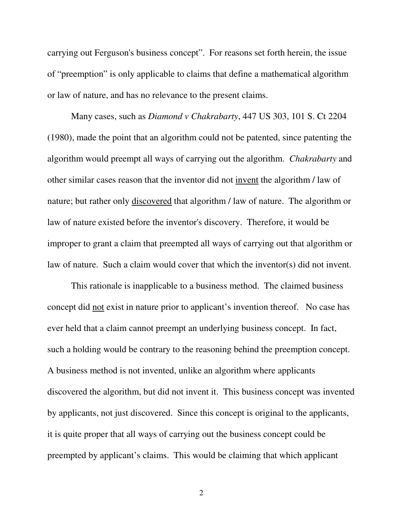carrying out Ferguson's business concept". For reasons set forth herein, the issue of "preemption" is only applicable to claims that define a mathematical algorithm or law of nature, and has no relevance to the present claims.

Many cases, such as *Diamond v Chakrabarty*, 447 US 303, 101 S. Ct 2204 (1980), made the point that an algorithm could not be patented, since patenting the algorithm would preempt all ways of carrying out the algorithm. *Chakrabarty* and other similar cases reason that the inventor did not invent the algorithm / law of nature; but rather only discovered that algorithm / law of nature. The algorithm or law of nature existed before the inventor's discovery. Therefore, it would be improper to grant a claim that preempted all ways of carrying out that algorithm or law of nature. Such a claim would cover that which the inventor(s) did not invent.

This rationale is inapplicable to a business method. The claimed business concept did not exist in nature prior to applicant's invention thereof. No case has ever held that a claim cannot preempt an underlying business concept. In fact, such a holding would be contrary to the reasoning behind the preemption concept. A business method is not invented, unlike an algorithm where applicants discovered the algorithm, but did not invent it. This business concept was invented by applicants, not just discovered. Since this concept is original to the applicants, it is quite proper that all ways of carrying out the business concept could be preempted by applicant's claims. This would be claiming that which applicant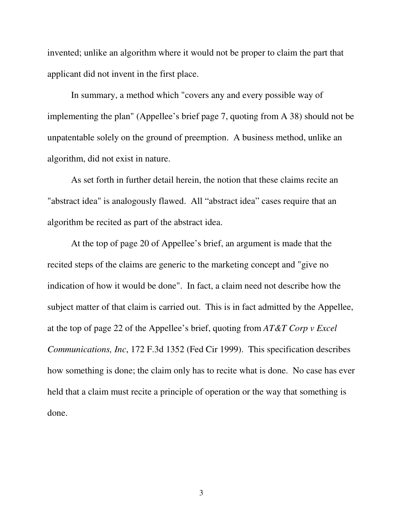invented; unlike an algorithm where it would not be proper to claim the part that applicant did not invent in the first place.

In summary, a method which "covers any and every possible way of implementing the plan" (Appellee's brief page 7, quoting from A 38) should not be unpatentable solely on the ground of preemption. A business method, unlike an algorithm, did not exist in nature.

As set forth in further detail herein, the notion that these claims recite an "abstract idea" is analogously flawed. All "abstract idea" cases require that an algorithm be recited as part of the abstract idea.

At the top of page 20 of Appellee's brief, an argument is made that the recited steps of the claims are generic to the marketing concept and "give no indication of how it would be done". In fact, a claim need not describe how the subject matter of that claim is carried out. This is in fact admitted by the Appellee, at the top of page 22 of the Appellee's brief, quoting from *AT&T Corp v Excel Communications, Inc*, 172 F.3d 1352 (Fed Cir 1999). This specification describes how something is done; the claim only has to recite what is done. No case has ever held that a claim must recite a principle of operation or the way that something is done.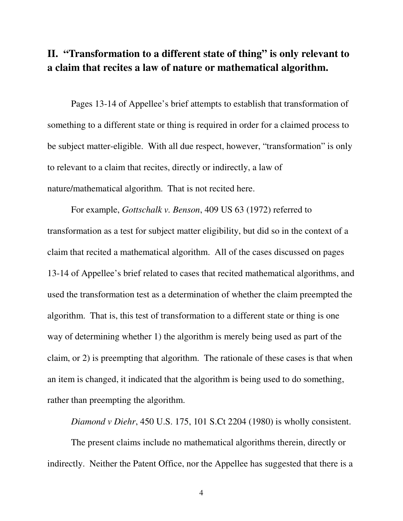### **II. "Transformation to a different state of thing" is only relevant to a claim that recites a law of nature or mathematical algorithm.**

Pages 13-14 of Appellee's brief attempts to establish that transformation of something to a different state or thing is required in order for a claimed process to be subject matter-eligible. With all due respect, however, "transformation" is only to relevant to a claim that recites, directly or indirectly, a law of nature/mathematical algorithm. That is not recited here.

For example, *Gottschalk v. Benson*, 409 US 63 (1972) referred to transformation as a test for subject matter eligibility, but did so in the context of a claim that recited a mathematical algorithm. All of the cases discussed on pages 13-14 of Appellee's brief related to cases that recited mathematical algorithms, and used the transformation test as a determination of whether the claim preempted the algorithm. That is, this test of transformation to a different state or thing is one way of determining whether 1) the algorithm is merely being used as part of the claim, or 2) is preempting that algorithm. The rationale of these cases is that when an item is changed, it indicated that the algorithm is being used to do something, rather than preempting the algorithm.

*Diamond v Diehr*, 450 U.S. 175, 101 S.Ct 2204 (1980) is wholly consistent.

The present claims include no mathematical algorithms therein, directly or indirectly. Neither the Patent Office, nor the Appellee has suggested that there is a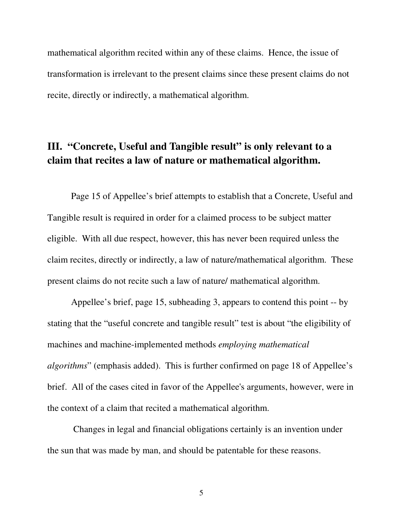mathematical algorithm recited within any of these claims. Hence, the issue of transformation is irrelevant to the present claims since these present claims do not recite, directly or indirectly, a mathematical algorithm.

# **III. "Concrete, Useful and Tangible result" is only relevant to a claim that recites a law of nature or mathematical algorithm.**

Page 15 of Appellee's brief attempts to establish that a Concrete, Useful and Tangible result is required in order for a claimed process to be subject matter eligible. With all due respect, however, this has never been required unless the claim recites, directly or indirectly, a law of nature/mathematical algorithm. These present claims do not recite such a law of nature/ mathematical algorithm.

Appellee's brief, page 15, subheading 3, appears to contend this point -- by stating that the "useful concrete and tangible result" test is about "the eligibility of machines and machine-implemented methods *employing mathematical algorithms*" (emphasis added). This is further confirmed on page 18 of Appellee's brief. All of the cases cited in favor of the Appellee's arguments, however, were in the context of a claim that recited a mathematical algorithm.

Changes in legal and financial obligations certainly is an invention under the sun that was made by man, and should be patentable for these reasons.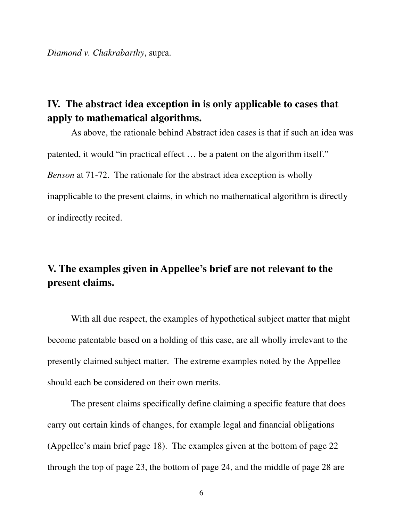*Diamond v. Chakrabarthy*, supra.

### **IV. The abstract idea exception in is only applicable to cases that apply to mathematical algorithms.**

As above, the rationale behind Abstract idea cases is that if such an idea was patented, it would "in practical effect … be a patent on the algorithm itself." *Benson* at 71-72. The rationale for the abstract idea exception is wholly inapplicable to the present claims, in which no mathematical algorithm is directly or indirectly recited.

# **V. The examples given in Appellee's brief are not relevant to the present claims.**

With all due respect, the examples of hypothetical subject matter that might become patentable based on a holding of this case, are all wholly irrelevant to the presently claimed subject matter. The extreme examples noted by the Appellee should each be considered on their own merits.

The present claims specifically define claiming a specific feature that does carry out certain kinds of changes, for example legal and financial obligations (Appellee's main brief page 18). The examples given at the bottom of page 22 through the top of page 23, the bottom of page 24, and the middle of page 28 are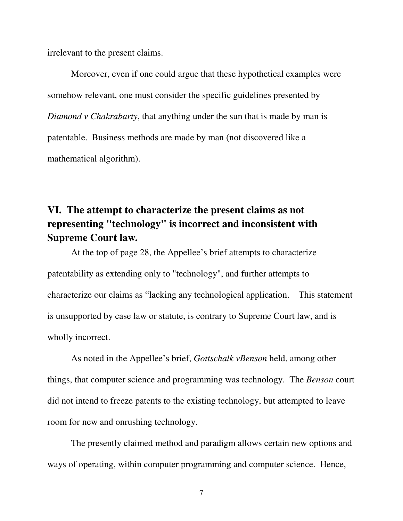irrelevant to the present claims.

Moreover, even if one could argue that these hypothetical examples were somehow relevant, one must consider the specific guidelines presented by *Diamond v Chakrabarty*, that anything under the sun that is made by man is patentable. Business methods are made by man (not discovered like a mathematical algorithm).

# **VI. The attempt to characterize the present claims as not representing "technology" is incorrect and inconsistent with Supreme Court law.**

At the top of page 28, the Appellee's brief attempts to characterize patentability as extending only to "technology", and further attempts to characterize our claims as "lacking any technological application. This statement is unsupported by case law or statute, is contrary to Supreme Court law, and is wholly incorrect.

As noted in the Appellee's brief, *Gottschalk vBenson* held, among other things, that computer science and programming was technology. The *Benson* court did not intend to freeze patents to the existing technology, but attempted to leave room for new and onrushing technology.

The presently claimed method and paradigm allows certain new options and ways of operating, within computer programming and computer science. Hence,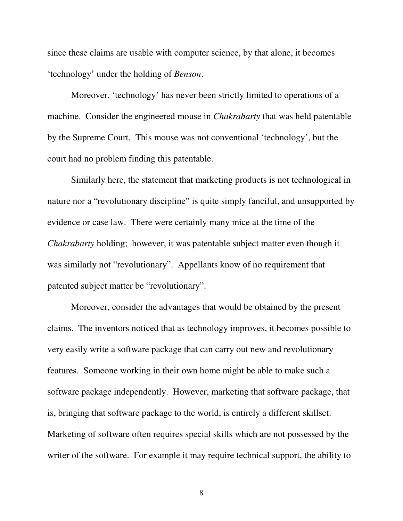since these claims are usable with computer science, by that alone, it becomes 'technology' under the holding of *Benson*.

Moreover, 'technology' has never been strictly limited to operations of a machine. Consider the engineered mouse in *Chakrabarty* that was held patentable by the Supreme Court. This mouse was not conventional 'technology', but the court had no problem finding this patentable.

Similarly here, the statement that marketing products is not technological in nature nor a "revolutionary discipline" is quite simply fanciful, and unsupported by evidence or case law. There were certainly many mice at the time of the *Chakrabarty* holding; however, it was patentable subject matter even though it was similarly not "revolutionary". Appellants know of no requirement that patented subject matter be "revolutionary".

Moreover, consider the advantages that would be obtained by the present claims. The inventors noticed that as technology improves, it becomes possible to very easily write a software package that can carry out new and revolutionary features. Someone working in their own home might be able to make such a software package independently. However, marketing that software package, that is, bringing that software package to the world, is entirely a different skillset. Marketing of software often requires special skills which are not possessed by the writer of the software. For example it may require technical support, the ability to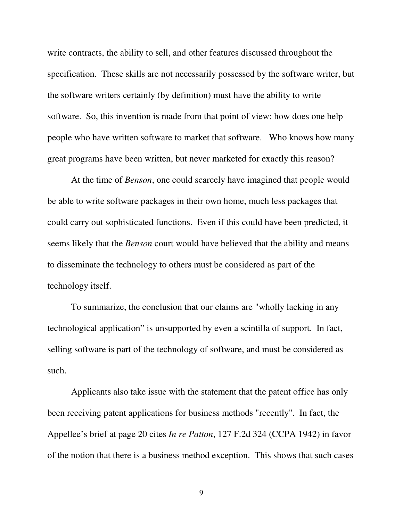write contracts, the ability to sell, and other features discussed throughout the specification. These skills are not necessarily possessed by the software writer, but the software writers certainly (by definition) must have the ability to write software. So, this invention is made from that point of view: how does one help people who have written software to market that software. Who knows how many great programs have been written, but never marketed for exactly this reason?

At the time of *Benson*, one could scarcely have imagined that people would be able to write software packages in their own home, much less packages that could carry out sophisticated functions. Even if this could have been predicted, it seems likely that the *Benson* court would have believed that the ability and means to disseminate the technology to others must be considered as part of the technology itself.

To summarize, the conclusion that our claims are "wholly lacking in any technological application" is unsupported by even a scintilla of support. In fact, selling software is part of the technology of software, and must be considered as such.

Applicants also take issue with the statement that the patent office has only been receiving patent applications for business methods "recently". In fact, the Appellee's brief at page 20 cites *In re Patton*, 127 F.2d 324 (CCPA 1942) in favor of the notion that there is a business method exception. This shows that such cases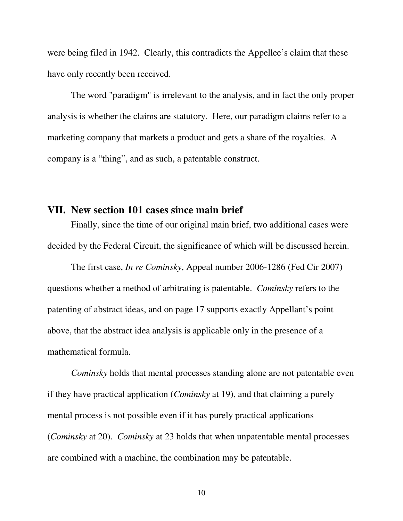were being filed in 1942. Clearly, this contradicts the Appellee's claim that these have only recently been received.

The word "paradigm" is irrelevant to the analysis, and in fact the only proper analysis is whether the claims are statutory. Here, our paradigm claims refer to a marketing company that markets a product and gets a share of the royalties. A company is a "thing", and as such, a patentable construct.

#### **VII. New section 101 cases since main brief**

Finally, since the time of our original main brief, two additional cases were decided by the Federal Circuit, the significance of which will be discussed herein.

The first case, *In re Cominsky*, Appeal number 2006-1286 (Fed Cir 2007) questions whether a method of arbitrating is patentable. *Cominsky* refers to the patenting of abstract ideas, and on page 17 supports exactly Appellant's point above, that the abstract idea analysis is applicable only in the presence of a mathematical formula.

*Cominsky* holds that mental processes standing alone are not patentable even if they have practical application (*Cominsky* at 19), and that claiming a purely mental process is not possible even if it has purely practical applications (*Cominsky* at 20). *Cominsky* at 23 holds that when unpatentable mental processes are combined with a machine, the combination may be patentable.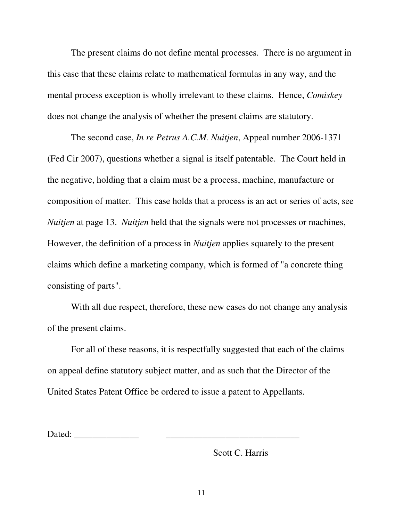The present claims do not define mental processes. There is no argument in this case that these claims relate to mathematical formulas in any way, and the mental process exception is wholly irrelevant to these claims. Hence, *Comiskey* does not change the analysis of whether the present claims are statutory.

The second case, *In re Petrus A.C.M. Nuitjen*, Appeal number 2006-1371 (Fed Cir 2007), questions whether a signal is itself patentable. The Court held in the negative, holding that a claim must be a process, machine, manufacture or composition of matter. This case holds that a process is an act or series of acts, see *Nuitjen* at page 13. *Nuitjen* held that the signals were not processes or machines, However, the definition of a process in *Nuitjen* applies squarely to the present claims which define a marketing company, which is formed of "a concrete thing consisting of parts".

With all due respect, therefore, these new cases do not change any analysis of the present claims.

For all of these reasons, it is respectfully suggested that each of the claims on appeal define statutory subject matter, and as such that the Director of the United States Patent Office be ordered to issue a patent to Appellants.

Dated: \_\_\_\_\_\_\_\_\_\_\_\_\_\_ \_\_\_\_\_\_\_\_\_\_\_\_\_\_\_\_\_\_\_\_\_\_\_\_\_\_\_\_\_

Scott C. Harris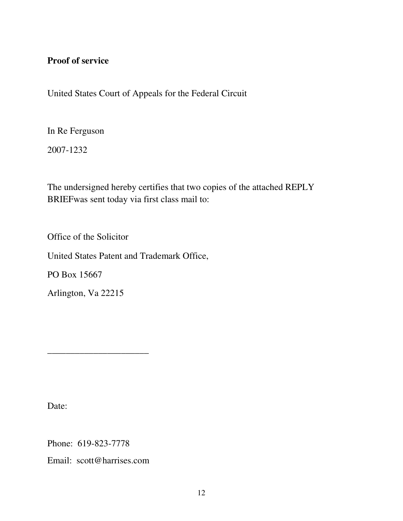#### **Proof of service**

United States Court of Appeals for the Federal Circuit

In Re Ferguson

2007-1232

The undersigned hereby certifies that two copies of the attached REPLY BRIEFwas sent today via first class mail to:

Office of the Solicitor

United States Patent and Trademark Office,

PO Box 15667

Arlington, Va 22215

Date:

Phone: 619-823-7778

Email: scott@harrises.com

\_\_\_\_\_\_\_\_\_\_\_\_\_\_\_\_\_\_\_\_\_\_